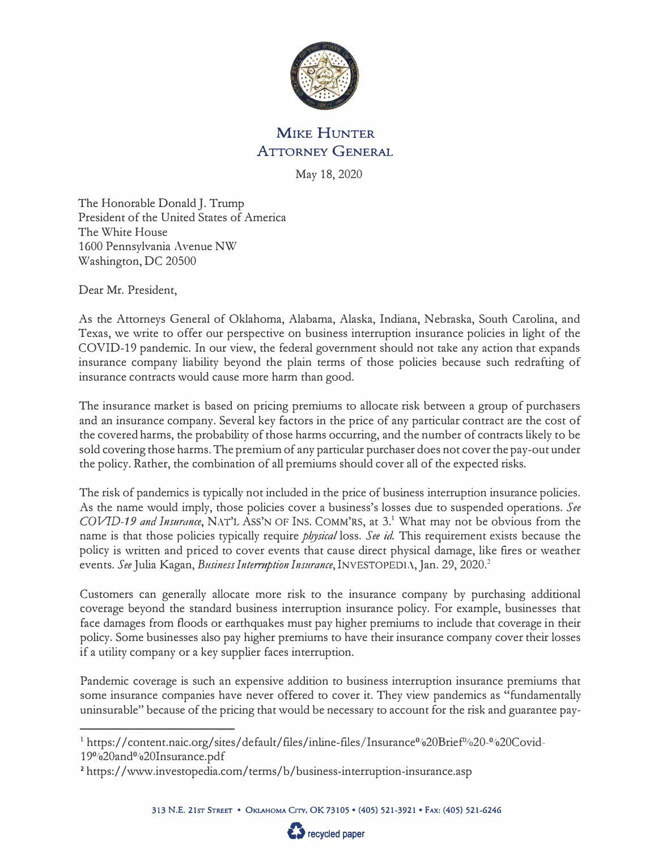

## MIKE HUNTER ATTORNEY GENERAL

May 18, 2020

The Honorable Donald J. Trump President of the United States of America The White House 1600 Pennsylvania Avenue NW Washington, DC 20500

Dear Mr. President,

As the Attorneys General of Oklahoma, Alabama, Alaska, Indiana, Nebraska, South Carolina, and Texas, we write to offer our perspective on business interruption insurance policies in light of the COVID-19 pandemic. In our view, the federal government should not take any action that expands insurance company liability beyond the plain terms of those policies because such redrafting of insurance contracts would cause more harm than good.

The insurance market is based on pricing premiums to allocate risk between a group of purchasers and an insurance company. Several key factors in the price of any particular contract are the cost of the covered harms, the probability of those harms occurring, and the number of contracts likely to be sold covering those harms. The premium of any particular purchaser does not cover the pay-out under the policy. Rather, the combination of all premiums should cover all of the expected risks.

The risk of pandemics is typically not included in the price of business interruption insurance policies. As the name would imply, those policies cover a business's losses due to suspended operations. *See COVID-19 and Insurance*, NAT'L Ass'N OF INS. COMM'RS, at 3.<sup>1</sup> What may not be obvious from the name is that those policies typically require *physical* loss. See id. This requirement exists because the policy is written and priced to cover events that cause direct physical damage, like fires or weather events. See Julia Kagan, *Business Interruption Insurance*, INVESTOPEDIA, Jan. 29, 2020.<sup>2</sup>

Customers can generally allocate more risk to the insurance company by purchasing additional coverage beyond the standard business interruption insurance policy. For example, businesses that face damages from floods or earthquakes must pay higher premiums to include that coverage in their policy. Some businesses also pay higher premiums to have their insurance company cover their losses if a utility company or a key supplier faces interruption.

Pandemic coverage is such an expensive addition to business interruption insurance premiums that some insurance companies have never offered to cover it. They view pandemics as "fundamentally uninsurable" because of the pricing that would be necessary to account for the risk and guarantee pay-



<sup>&</sup>lt;sup>1</sup> https://content.naic.org/sites/default/files/inline-files/Insurance%20Brief%20-%20Covid-19%20and%20Insurance.pdf

**<sup>2</sup>**https:/ /www.investopedia.com/terms/b/business-interruption-insurance.asp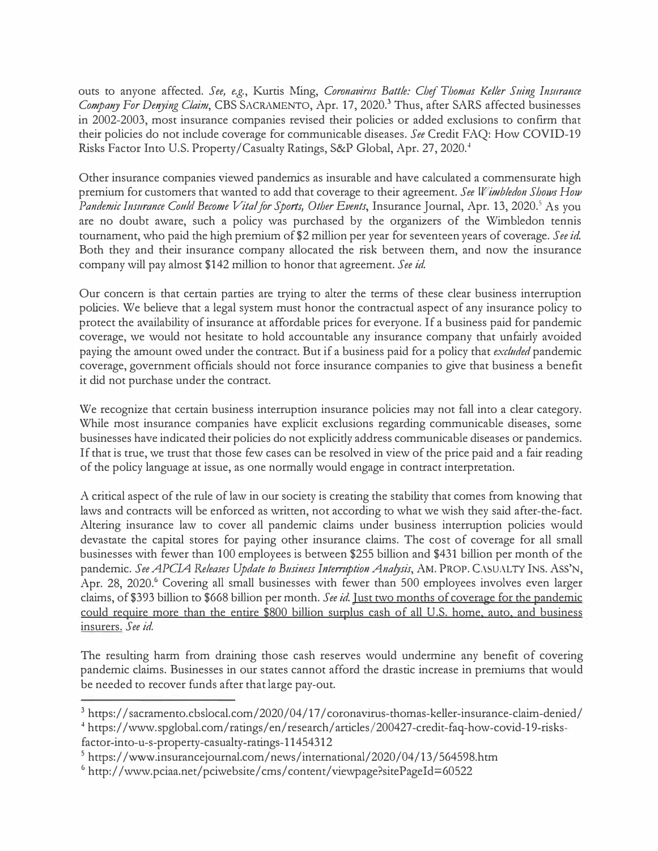outs to anyone affected. See, e.g., Kurtis Ming, *Coronavirus Battle: Chef Thomas Keller Suing Insurance Compmry For Den\_)'ing Claim,* CBS SACRAMENTO, Apr. 17, 2020.**<sup>3</sup>**Thus, after SARS affected businesses in 2002-2003, most insurance companies revised their policies or added exclusions to confirm that their policies do not include coverage for communicable diseases. *See* Credit FAQ: How COVID-19 Risks Factor Into U.S. Property/Casualty Ratings, S&P Global, Apr. 27, 2020.<sup>4</sup>

Other insurance companies viewed pandemics as insurable and have calculated a commensurate high premium for customers that wanted to add that coverage to their agreement. *See W'inbledon Shows How Pandemic Insurance Could Become Vital for Sports, Other Events, Insurance Journal, Apr. 13, 2020.* As you are no doubt aware, such a policy was purchased by the organizers of the Wimbledon tennis tournament, who paid the high premium of \$2 million per year for seventeen years of coverage. *See id.*  Both they and their insurance company allocated the risk between them, and now the insurance company will pay almost \$142 million to honor that agreement. *See id.* 

Our concern is that certain parties are trying to alter the terms of these clear business interruption policies. We believe that a legal system must honor the contractual aspect of any insurance policy to protect the availability of insurance at affordable prices for everyone. If a business paid for pandemic coverage, we would not hesitate to hold accountable any insurance company that unfairly avoided paying the amount owed under the contract. But if a business paid for a policy that *excluded* pandemic coverage, government officials should not force insurance companies to give that business a benefit it did not purchase under the contract.

We recognize that certain business interruption insurance policies may not fall into a clear category. While most insurance companies have explicit exclusions regarding communicable diseases, some businesses have indicated their policies do not explicitly address communicable diseases or pandemics. If that is true, we trust that those few cases can be resolved in view of the price paid and a fair reading of the policy language at issue, as one normally would engage in contract interpretation.

A critical aspect of the rule of law in our society is creating the stability that comes from knowing that laws and contracts will be enforced as written, not according to what we wish they said after-the-fact. Altering insurance law to cover all pandemic claims under business interruption policies would devastate the capital stores for paying other insurance claims. The cost of coverage for all small businesses with fewer than 100 employees is between \$255 billion and \$431 billion per month of the pandemic. See APCIA Releases Update to Business Interruption Analysis, AM. PROP. CASUALTY INS. ASS'N, Apr. 28, 2020.<sup>6</sup> Covering all small businesses with fewer than 500 employees involves even larger claims, of \$393 billion to \$668 billion per month. *See id.* Just two months of coverage for the pandemic could require more than the entire \$800 billion surplus cash of all U.S. home, auto, and business insurers. *See id.* 

The resulting harm from draining those cash reserves would undermine any benefit of covering pandemic claims. Businesses in our states cannot afford the drastic increase in premiums that would be needed to recover funds after that large pay-out.

<sup>&</sup>lt;sup>3</sup> https://sacramento.cbslocal.com/2020/04/17/coronavirus-thomas-keller-insurance-claim-denied/

**<sup>4</sup>**https:/ /www.spglobal. com/ ratings/ en/ research/ articles/200427-credit-faq-how-covid-19-risksfactor-into-u-s-property-casualty-ratings-11454312

<sup>&</sup>lt;sup>5</sup> https://www.insurancejournal.com/news/international/2020/04/13/564598.htm

<sup>&</sup>lt;sup>6</sup> http://www.pciaa.net/pciwebsite/cms/content/viewpage?sitePageId=60522